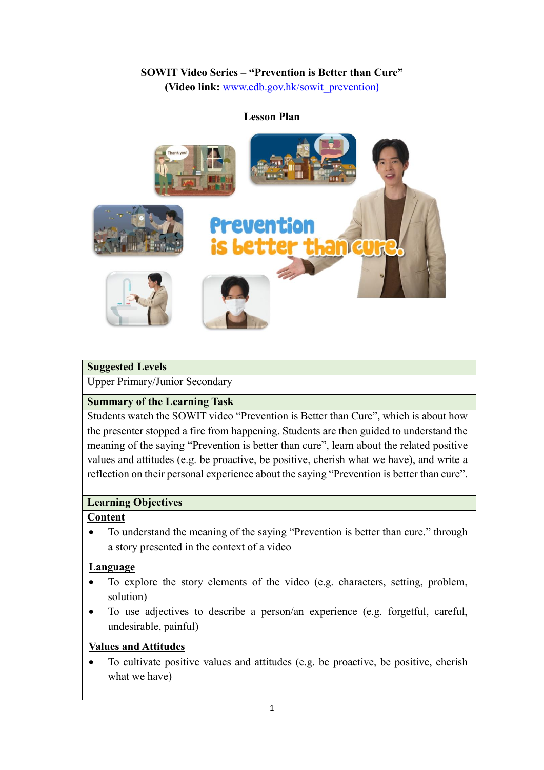# **SOWIT Video Series – "Prevention is Better than Cure"**

**(Video link:** [www.edb.gov.hk/sowit\\_prevention](http://www.edb.gov.hk/sowit_prevention))

#### **Lesson Plan**



#### **Suggested Levels**

Upper Primary/Junior Secondary

#### **Summary of the Learning Task**

Students watch the SOWIT video "Prevention is Better than Cure", which is about how the presenter stopped a fire from happening. Students are then guided to understand the meaning of the saying "Prevention is better than cure", learn about the related positive values and attitudes (e.g. be proactive, be positive, cherish what we have), and write a reflection on their personal experience about the saying "Prevention is better than cure".

#### **Learning Objectives**

#### **Content**

• To understand the meaning of the saying "Prevention is better than cure." through a story presented in the context of a video

#### **Language**

- To explore the story elements of the video (e.g. characters, setting, problem, solution)
- To use adjectives to describe a person/an experience (e.g. forgetful, careful, undesirable, painful)

#### **Values and Attitudes**

 To cultivate positive values and attitudes (e.g. be proactive, be positive, cherish what we have)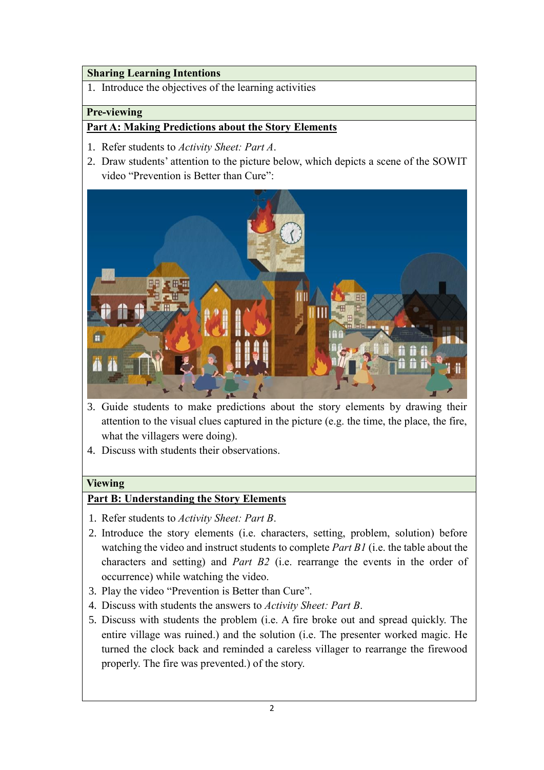#### **Sharing Learning Intentions**

1. Introduce the objectives of the learning activities

### **Pre-viewing**

### **Part A: Making Predictions about the Story Elements**

- 1. Refer students to *Activity Sheet: Part A*.
- 2. Draw students' attention to the picture below, which depicts a scene of the SOWIT video "Prevention is Better than Cure":



- 3. Guide students to make predictions about the story elements by drawing their attention to the visual clues captured in the picture (e.g. the time, the place, the fire, what the villagers were doing).
- 4. Discuss with students their observations.

#### **Viewing**

## **Part B: Understanding the Story Elements**

- 1. Refer students to *Activity Sheet: Part B*.
- 2. Introduce the story elements (i.e. characters, setting, problem, solution) before watching the video and instruct students to complete *Part B1* (i.e. the table about the characters and setting) and *Part B2* (i.e. rearrange the events in the order of occurrence) while watching the video.
- 3. Play the video "Prevention is Better than Cure".
- 4. Discuss with students the answers to *Activity Sheet: Part B*.
- 5. Discuss with students the problem (i.e. A fire broke out and spread quickly. The entire village was ruined.) and the solution (i.e. The presenter worked magic. He turned the clock back and reminded a careless villager to rearrange the firewood properly. The fire was prevented.) of the story.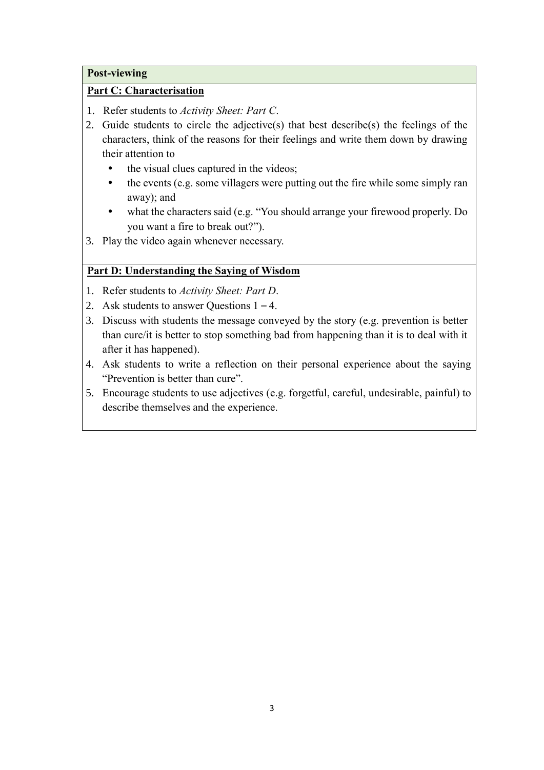#### **Post-viewing**

#### **Part C: Characterisation**

- 1. Refer students to *Activity Sheet: Part C*.
- 2. Guide students to circle the adjective(s) that best describe(s) the feelings of the characters, think of the reasons for their feelings and write them down by drawing their attention to
	- the visual clues captured in the videos;
	- the events (e.g. some villagers were putting out the fire while some simply ran away); and
	- what the characters said (e.g. "You should arrange your firewood properly. Do you want a fire to break out?").
- 3. Play the video again whenever necessary.

#### **Part D: Understanding the Saying of Wisdom**

- 1. Refer students to *Activity Sheet: Part D*.
- 2. Ask students to answer Questions 1 4.
- 3. Discuss with students the message conveyed by the story (e.g. prevention is better than cure/it is better to stop something bad from happening than it is to deal with it after it has happened).
- 4. Ask students to write a reflection on their personal experience about the saying "Prevention is better than cure".
- 5. Encourage students to use adjectives (e.g. forgetful, careful, undesirable, painful) to describe themselves and the experience.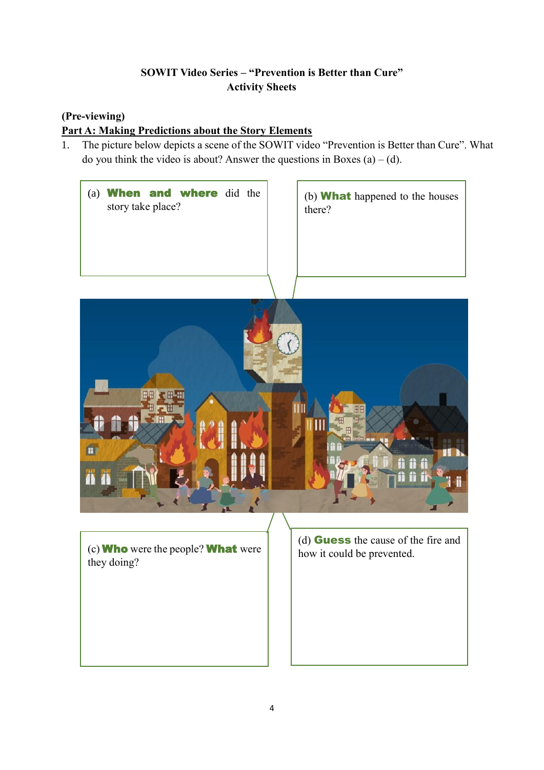## **SOWIT Video Series – "Prevention is Better than Cure" Activity Sheets**

## **(Pre-viewing)**

# **Part A: Making Predictions about the Story Elements**

1. The picture below depicts a scene of the SOWIT video "Prevention is Better than Cure". What do you think the video is about? Answer the questions in Boxes  $(a) - (d)$ .

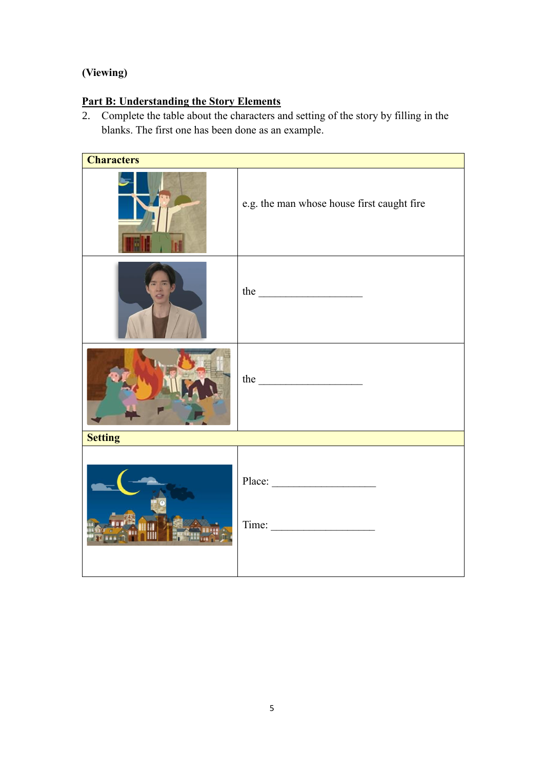# **(Viewing)**

# **Part B: Understanding the Story Elements**

2. Complete the table about the characters and setting of the story by filling in the blanks. The first one has been done as an example.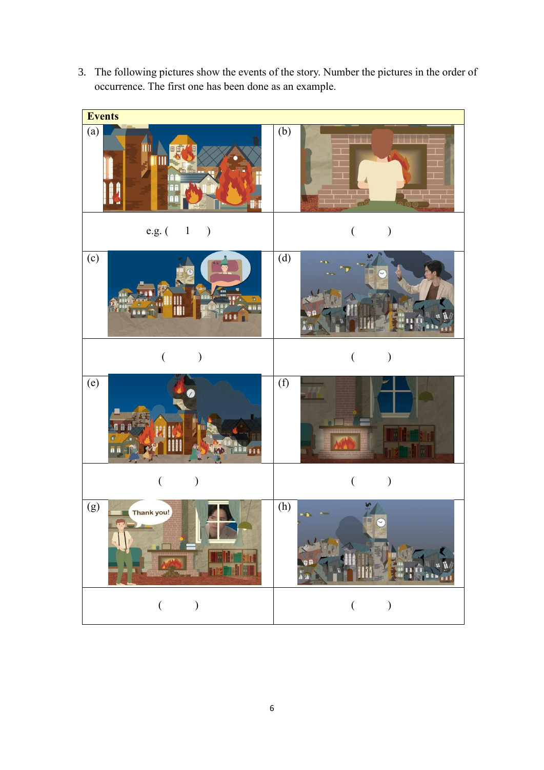3. The following pictures show the events of the story. Number the pictures in the order of occurrence. The first one has been done as an example.

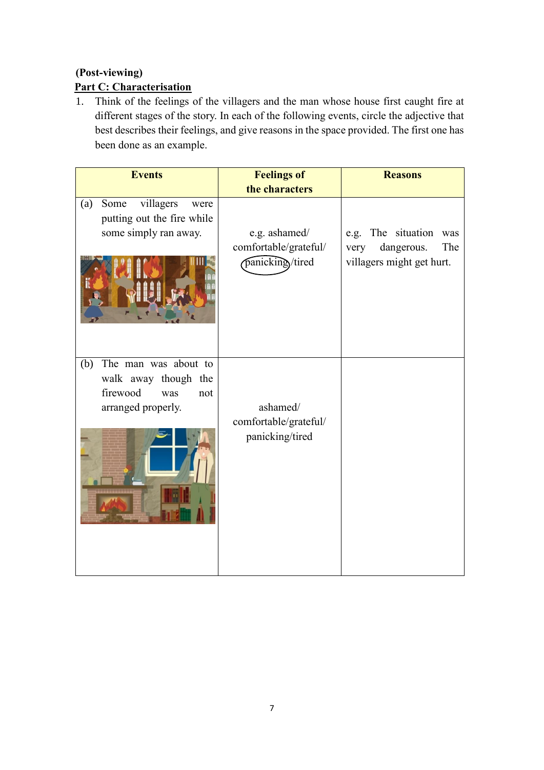# **(Post-viewing)**

# **Part C: Characterisation**

1. Think of the feelings of the villagers and the man whose house first caught fire at different stages of the story. In each of the following events, circle the adjective that best describes their feelings, and give reasons in the space provided. The first one has been done as an example.

| <b>Events</b>                                                                                       | <b>Feelings of</b>                                        | <b>Reasons</b>                                                                      |
|-----------------------------------------------------------------------------------------------------|-----------------------------------------------------------|-------------------------------------------------------------------------------------|
|                                                                                                     | the characters                                            |                                                                                     |
| villagers<br>Some<br>(a)<br>were<br>putting out the fire while<br>some simply ran away.             | e.g. ashamed/<br>comfortable/grateful/<br>panicking/tired | e.g. The situation<br>was<br>dangerous.<br>The<br>very<br>villagers might get hurt. |
| The man was about to<br>(b)<br>walk away though the<br>firewood<br>was<br>not<br>arranged properly. | ashamed/<br>comfortable/grateful/<br>panicking/tired      |                                                                                     |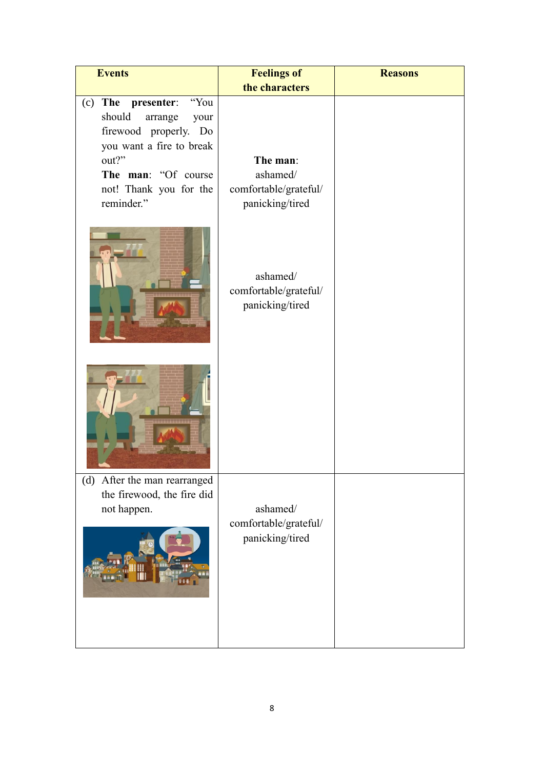| <b>Events</b>                                                                                                                                                                              | <b>Feelings of</b>                                               | <b>Reasons</b> |
|--------------------------------------------------------------------------------------------------------------------------------------------------------------------------------------------|------------------------------------------------------------------|----------------|
|                                                                                                                                                                                            | the characters                                                   |                |
| The<br>"You<br>presenter:<br>(c)<br>should<br>arrange<br>your<br>firewood properly. Do<br>you want a fire to break<br>out?"<br>The man: "Of course<br>not! Thank you for the<br>reminder." | The man:<br>ashamed/<br>comfortable/grateful/<br>panicking/tired |                |
|                                                                                                                                                                                            | ashamed/<br>comfortable/grateful/<br>panicking/tired             |                |
|                                                                                                                                                                                            |                                                                  |                |
| After the man rearranged<br>(d)<br>the firewood, the fire did<br>not happen.                                                                                                               | ashamed/<br>comfortable/grateful/<br>panicking/tired             |                |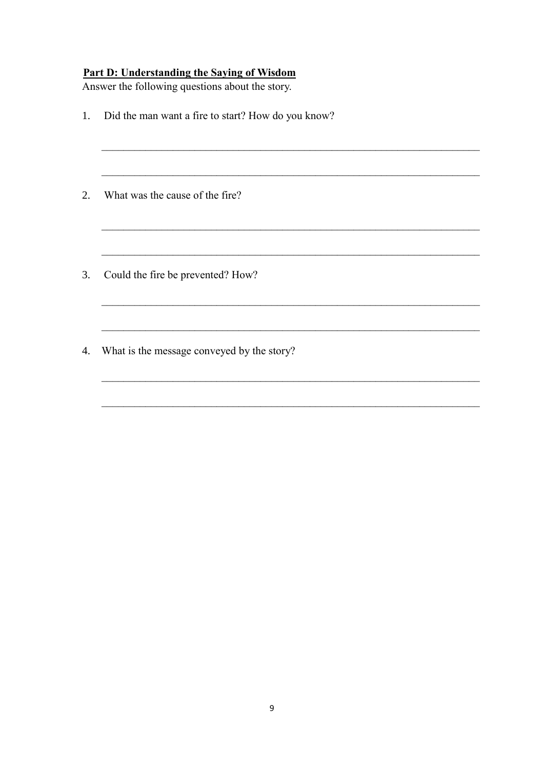### **Part D: Understanding the Saying of Wisdom**

Answer the following questions about the story.

 $1.$ Did the man want a fire to start? How do you know? 2. What was the cause of the fire? 3. Could the fire be prevented? How? <u> 1989 - Johann John Stone, markin fan it fjort fan it fjort fan it fjort fan it fjort fan it fjort fan it fjort f</u> 4. What is the message conveyed by the story?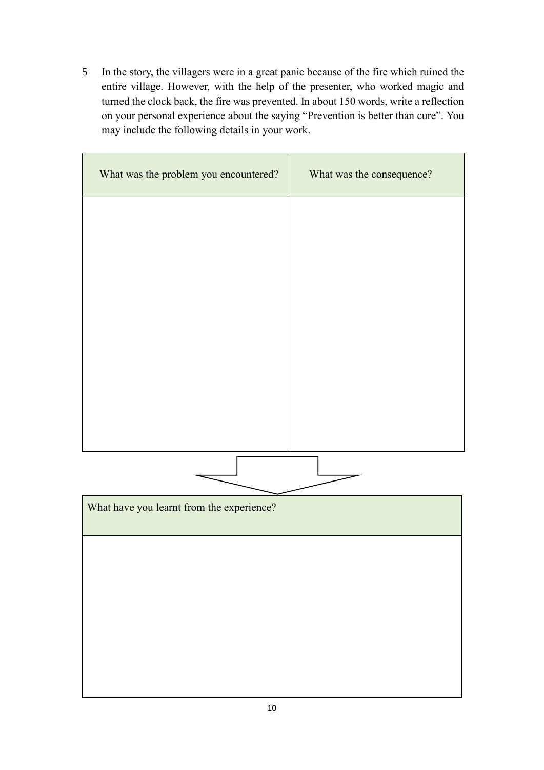5 In the story, the villagers were in a great panic because of the fire which ruined the entire village. However, with the help of the presenter, who worked magic and turned the clock back, the fire was prevented. In about 150 words, write a reflection on your personal experience about the saying "Prevention is better than cure". You may include the following details in your work.

| What was the problem you encountered?     | What was the consequence? |
|-------------------------------------------|---------------------------|
|                                           |                           |
|                                           |                           |
|                                           |                           |
|                                           |                           |
|                                           |                           |
|                                           |                           |
|                                           |                           |
| What have you learnt from the experience? |                           |
|                                           |                           |
|                                           |                           |
|                                           |                           |
|                                           |                           |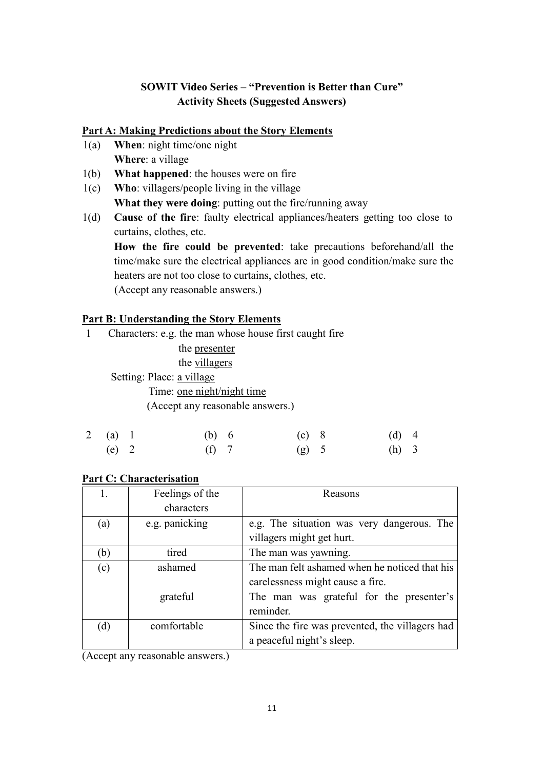## **SOWIT Video Series – "Prevention is Better than Cure" Activity Sheets (Suggested Answers)**

#### **Part A: Making Predictions about the Story Elements**

- 1(a) **When**: night time/one night **Where**: a village
- 1(b) **What happened**: the houses were on fire
- 1(c) **Who**: villagers/people living in the village **What they were doing**: putting out the fire/running away
- 1(d) **Cause of the fire**: faulty electrical appliances/heaters getting too close to curtains, clothes, etc.

**How the fire could be prevented**: take precautions beforehand/all the time/make sure the electrical appliances are in good condition/make sure the heaters are not too close to curtains, clothes, etc. (Accept any reasonable answers.)

#### **Part B: Understanding the Story Elements**

- 1 Characters: e.g. the man whose house first caught fire
	- the presenter

the villagers

Setting: Place: a village

Time: one night/night time

(Accept any reasonable answers.)

| 2 (a) 1 | (b) 6   | $(c)$ 8 | $(d)$ 4 |  |
|---------|---------|---------|---------|--|
| $(e)$ 2 | $(f)$ 7 | $(g)$ 5 | $(h)$ 3 |  |

#### **Part C: Characterisation**

|     | Feelings of the | Reasons                                         |  |
|-----|-----------------|-------------------------------------------------|--|
|     | characters      |                                                 |  |
| (a) | e.g. panicking  | e.g. The situation was very dangerous. The      |  |
|     |                 | villagers might get hurt.                       |  |
| (b) | tired           | The man was yawning.                            |  |
| (c) | ashamed         | The man felt ashamed when he noticed that his   |  |
|     |                 | carelessness might cause a fire.                |  |
|     | grateful        | The man was grateful for the presenter's        |  |
|     |                 | reminder.                                       |  |
| (d) | comfortable     | Since the fire was prevented, the villagers had |  |
|     |                 | a peaceful night's sleep.                       |  |

(Accept any reasonable answers.)